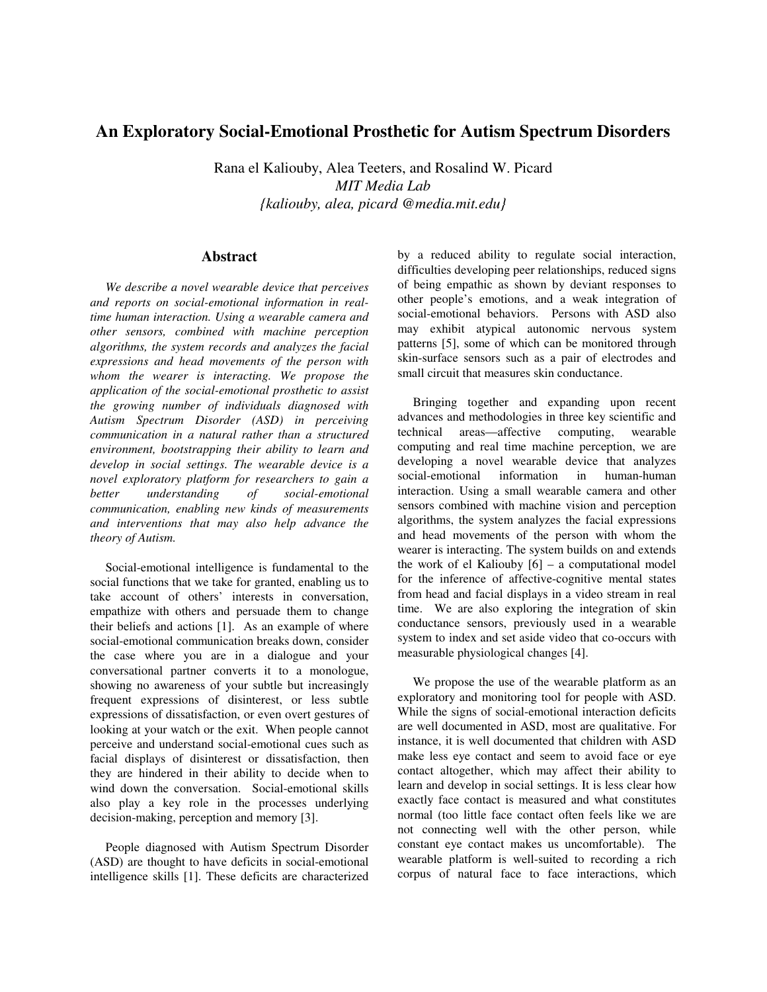## **An Exploratory Social-Emotional Prosthetic for Autism Spectrum Disorders**

Rana el Kaliouby, Alea Teeters, and Rosalind W. Picard *MIT Media Lab {kaliouby, alea, picard @media.mit.edu}*

## **Abstract**

*We describe a novel wearable device that perceives and reports on social-emotional information in realtime human interaction. Using a wearable camera and other sensors, combined with machine perception algorithms, the system records and analyzes the facial expressions and head movements of the person with whom the wearer is interacting. We propose the application of the social-emotional prosthetic to assist the growing number of individuals diagnosed with Autism Spectrum Disorder (ASD) in perceiving communication in a natural rather than a structured environment, bootstrapping their ability to learn and develop in social settings. The wearable device is a novel exploratory platform for researchers to gain a better understanding of social-emotional communication, enabling new kinds of measurements and interventions that may also help advance the theory of Autism.*

Social-emotional intelligence is fundamental to the social functions that we take for granted, enabling us to take account of others' interests in conversation, empathize with others and persuade them to change their beliefs and actions [1]. As an example of where social-emotional communication breaks down, consider the case where you are in a dialogue and your conversational partner converts it to a monologue, showing no awareness of your subtle but increasingly frequent expressions of disinterest, or less subtle expressions of dissatisfaction, or even overt gestures of looking at your watch or the exit. When people cannot perceive and understand social-emotional cues such as facial displays of disinterest or dissatisfaction, then they are hindered in their ability to decide when to wind down the conversation. Social-emotional skills also play a key role in the processes underlying decision-making, perception and memory [3].

People diagnosed with Autism Spectrum Disorder (ASD) are thought to have deficits in social-emotional intelligence skills [1]. These deficits are characterized

by a reduced ability to regulate social interaction, difficulties developing peer relationships, reduced signs of being empathic as shown by deviant responses to other people's emotions, and a weak integration of social-emotional behaviors. Persons with ASD also may exhibit atypical autonomic nervous system patterns [5], some of which can be monitored through skin-surface sensors such as a pair of electrodes and small circuit that measures skin conductance.

Bringing together and expanding upon recent advances and methodologies in three key scientific and technical areas—affective computing, wearable computing and real time machine perception, we are developing a novel wearable device that analyzes social-emotional information in human-human interaction. Using a small wearable camera and other sensors combined with machine vision and perception algorithms, the system analyzes the facial expressions and head movements of the person with whom the wearer is interacting. The system builds on and extends the work of el Kaliouby [6] – a computational model for the inference of affective-cognitive mental states from head and facial displays in a video stream in real time. We are also exploring the integration of skin conductance sensors, previously used in a wearable system to index and set aside video that co-occurs with measurable physiological changes [4].

We propose the use of the wearable platform as an exploratory and monitoring tool for people with ASD. While the signs of social-emotional interaction deficits are well documented in ASD, most are qualitative. For instance, it is well documented that children with ASD make less eye contact and seem to avoid face or eye contact altogether, which may affect their ability to learn and develop in social settings. It is less clear how exactly face contact is measured and what constitutes normal (too little face contact often feels like we are not connecting well with the other person, while constant eye contact makes us uncomfortable). The wearable platform is well-suited to recording a rich corpus of natural face to face interactions, which